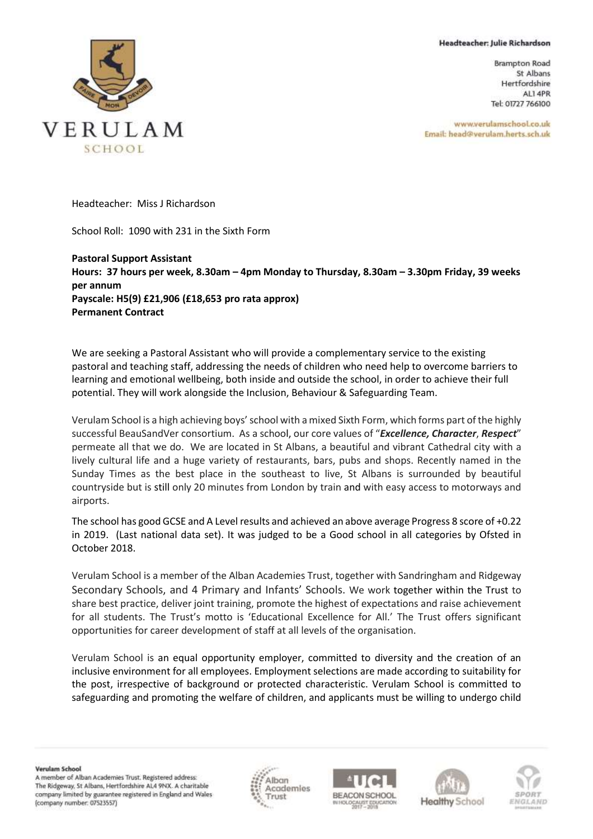## Headteacher: Julie Richardson

**Brampton Road** St Albans Hertfordshire AL1 4PR Tel: 01727 766100

www.verulamschool.co.uk Email: head@verulam.herts.sch.uk



Headteacher: Miss J Richardson

School Roll: 1090 with 231 in the Sixth Form

**Pastoral Support Assistant Hours: 37 hours per week, 8.30am – 4pm Monday to Thursday, 8.30am – 3.30pm Friday, 39 weeks per annum Payscale: H5(9) £21,906 (£18,653 pro rata approx) Permanent Contract**

We are seeking a Pastoral Assistant who will provide a complementary service to the existing pastoral and teaching staff, addressing the needs of children who need help to overcome barriers to learning and emotional wellbeing, both inside and outside the school, in order to achieve their full potential. They will work alongside the Inclusion, Behaviour & Safeguarding Team.

Verulam School is a high achieving boys' school with a mixed Sixth Form, which forms part of the highly successful BeauSandVer consortium. As a school, our core values of "*Excellence, Character*, *Respect*" permeate all that we do. We are located in St Albans, a beautiful and vibrant Cathedral city with a lively cultural life and a huge variety of restaurants, bars, pubs and shops. Recently named in the Sunday Times as the best place in the southeast to live, St Albans is surrounded by beautiful countryside but is still only 20 minutes from London by train and with easy access to motorways and airports.

The school has good GCSE and A Level results and achieved an above average Progress 8 score of +0.22 in 2019. (Last national data set). It was judged to be a Good school in all categories by Ofsted in October 2018.

Verulam School is a member of the Alban Academies Trust, together with Sandringham and Ridgeway Secondary Schools, and 4 Primary and Infants' Schools. We work together within the Trust to share best practice, deliver joint training, promote the highest of expectations and raise achievement for all students. The Trust's motto is 'Educational Excellence for All.' The Trust offers significant opportunities for career development of staff at all levels of the organisation.

Verulam School is an equal opportunity employer, committed to diversity and the creation of an inclusive environment for all employees. Employment selections are made according to suitability for the post, irrespective of background or protected characteristic. Verulam School is committed to safeguarding and promoting the welfare of children, and applicants must be willing to undergo child